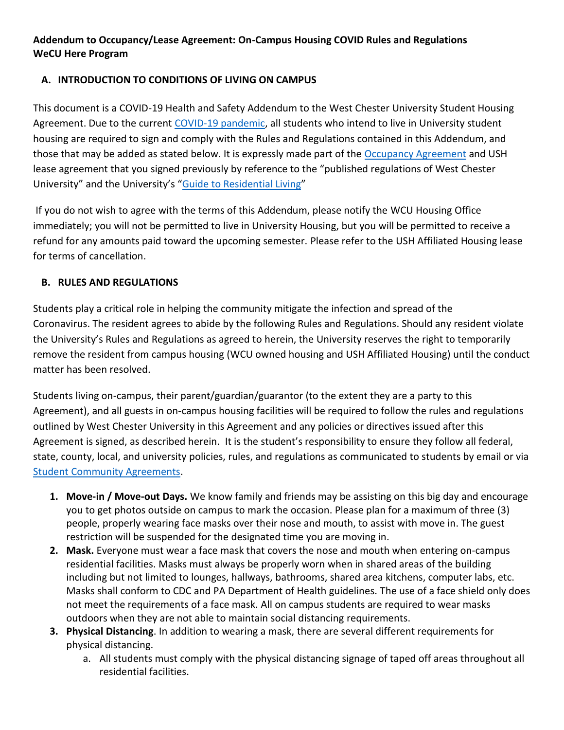# **Addendum to Occupancy/Lease Agreement: On-Campus Housing COVID Rules and Regulations WeCU Here Program**

## **A. INTRODUCTION TO CONDITIONS OF LIVING ON CAMPUS**

This document is a COVID-19 Health and Safety Addendum to the West Chester University Student Housing Agreement. Due to the current [COVID-19 pandemic,](https://www.cdc.gov/coronavirus/2019-ncov/index.html) all students who intend to live in University student housing are required to sign and comply with the Rules and Regulations contained in this Addendum, and those that may be added as stated below. It is expressly made part of the [Occupancy Agreement](https://www.wcupa.edu/_services/residenceLife/documents/FormsApp/apartmentOccupancyAgreement2018.pdf) and USH lease agreement that you signed previously by reference to the "published regulations of West Chester University" and the University's "[Guide to Residential Living](https://www.wcupa.edu/_services/residenceLife/documents/GuideToResidentialLiving19-20.pdf)"

If you do not wish to agree with the terms of this Addendum, please notify the WCU Housing Office immediately; you will not be permitted to live in University Housing, but you will be permitted to receive a refund for any amounts paid toward the upcoming semester. Please refer to the USH Affiliated Housing lease for terms of cancellation.

#### **B. RULES AND REGULATIONS**

Students play a critical role in helping the community mitigate the infection and spread of the Coronavirus. The resident agrees to abide by the following Rules and Regulations. Should any resident violate the University's Rules and Regulations as agreed to herein, the University reserves the right to temporarily remove the resident from campus housing (WCU owned housing and USH Affiliated Housing) until the conduct matter has been resolved.

Students living on-campus, their parent/guardian/guarantor (to the extent they are a party to this Agreement), and all guests in on-campus housing facilities will be required to follow the rules and regulations outlined by West Chester University in this Agreement and any policies or directives issued after this Agreement is signed, as described herein. It is the student's responsibility to ensure they follow all federal, state, county, local, and university policies, rules, and regulations as communicated to students by email or via [Student Community Agreements.](https://www.wcupa.edu/healthNotices/studentCommunityAgreements.aspx)

- **1. Move-in / Move-out Days.** We know family and friends may be assisting on this big day and encourage you to get photos outside on campus to mark the occasion. Please plan for a maximum of three (3) people, properly wearing face masks over their nose and mouth, to assist with move in. The guest restriction will be suspended for the designated time you are moving in.
- **2. Mask.** Everyone must wear a face mask that covers the nose and mouth when entering on-campus residential facilities. Masks must always be properly worn when in shared areas of the building including but not limited to lounges, hallways, bathrooms, shared area kitchens, computer labs, etc. Masks shall conform to CDC and PA Department of Health guidelines. The use of a face shield only does not meet the requirements of a face mask. All on campus students are required to wear masks outdoors when they are not able to maintain social distancing requirements.
- **3. Physical Distancing**. In addition to wearing a mask, there are several different requirements for physical distancing.
	- a. All students must comply with the physical distancing signage of taped off areas throughout all residential facilities.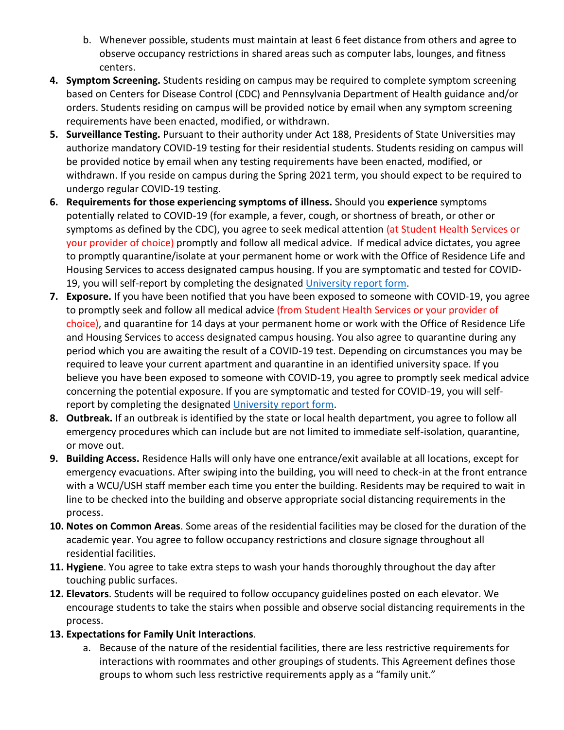- b. Whenever possible, students must maintain at least 6 feet distance from others and agree to observe occupancy restrictions in shared areas such as computer labs, lounges, and fitness centers.
- **4. Symptom Screening.** Students residing on campus may be required to complete symptom screening based on Centers for Disease Control (CDC) and Pennsylvania Department of Health guidance and/or orders. Students residing on campus will be provided notice by email when any symptom screening requirements have been enacted, modified, or withdrawn.
- **5. Surveillance Testing.** Pursuant to their authority under Act 188, Presidents of State Universities may authorize mandatory COVID-19 testing for their residential students. Students residing on campus will be provided notice by email when any testing requirements have been enacted, modified, or withdrawn. If you reside on campus during the Spring 2021 term, you should expect to be required to undergo regular COVID-19 testing.
- **6. Requirements for those experiencing symptoms of illness.** Should you **experience** symptoms potentially related to COVID-19 (for example, a fever, cough, or shortness of breath, or other or symptoms as defined by the CDC), you agree to seek medical attention (at Student Health Services or your provider of choice) promptly and follow all medical advice. If medical advice dictates, you agree to promptly quarantine/isolate at your permanent home or work with the Office of Residence Life and Housing Services to access designated campus housing. If you are symptomatic and tested for COVID-19, you will self-report by completing the designated [University report](https://cm.maxient.com/reportingform.php?WestChesterUniv&layout_id=31) form.
- **7. Exposure.** If you have been notified that you have been exposed to someone with COVID-19, you agree to promptly seek and follow all medical advice (from Student Health Services or your provider of choice), and quarantine for 14 days at your permanent home or work with the Office of Residence Life and Housing Services to access designated campus housing. You also agree to quarantine during any period which you are awaiting the result of a COVID-19 test. Depending on circumstances you may be required to leave your current apartment and quarantine in an identified university space. If you believe you have been exposed to someone with COVID-19, you agree to promptly seek medical advice concerning the potential exposure. If you are symptomatic and tested for COVID-19, you will self-report by completing the designated [University report form.](https://cm.maxient.com/reportingform.php?WestChesterUniv&layout_id=31)
- **8. Outbreak.** If an outbreak is identified by the state or local health department, you agree to follow all emergency procedures which can include but are not limited to immediate self-isolation, quarantine, or move out.
- **9. Building Access.** Residence Halls will only have one entrance/exit available at all locations, except for emergency evacuations. After swiping into the building, you will need to check-in at the front entrance with a WCU/USH staff member each time you enter the building. Residents may be required to wait in line to be checked into the building and observe appropriate social distancing requirements in the process.
- **10. Notes on Common Areas**. Some areas of the residential facilities may be closed for the duration of the academic year. You agree to follow occupancy restrictions and closure signage throughout all residential facilities.
- **11. Hygiene**. You agree to take extra steps to wash your hands thoroughly throughout the day after touching public surfaces.
- **12. Elevators**. Students will be required to follow occupancy guidelines posted on each elevator. We encourage students to take the stairs when possible and observe social distancing requirements in the process.
- **13. Expectations for Family Unit Interactions**.
	- a. Because of the nature of the residential facilities, there are less restrictive requirements for interactions with roommates and other groupings of students. This Agreement defines those groups to whom such less restrictive requirements apply as a "family unit."